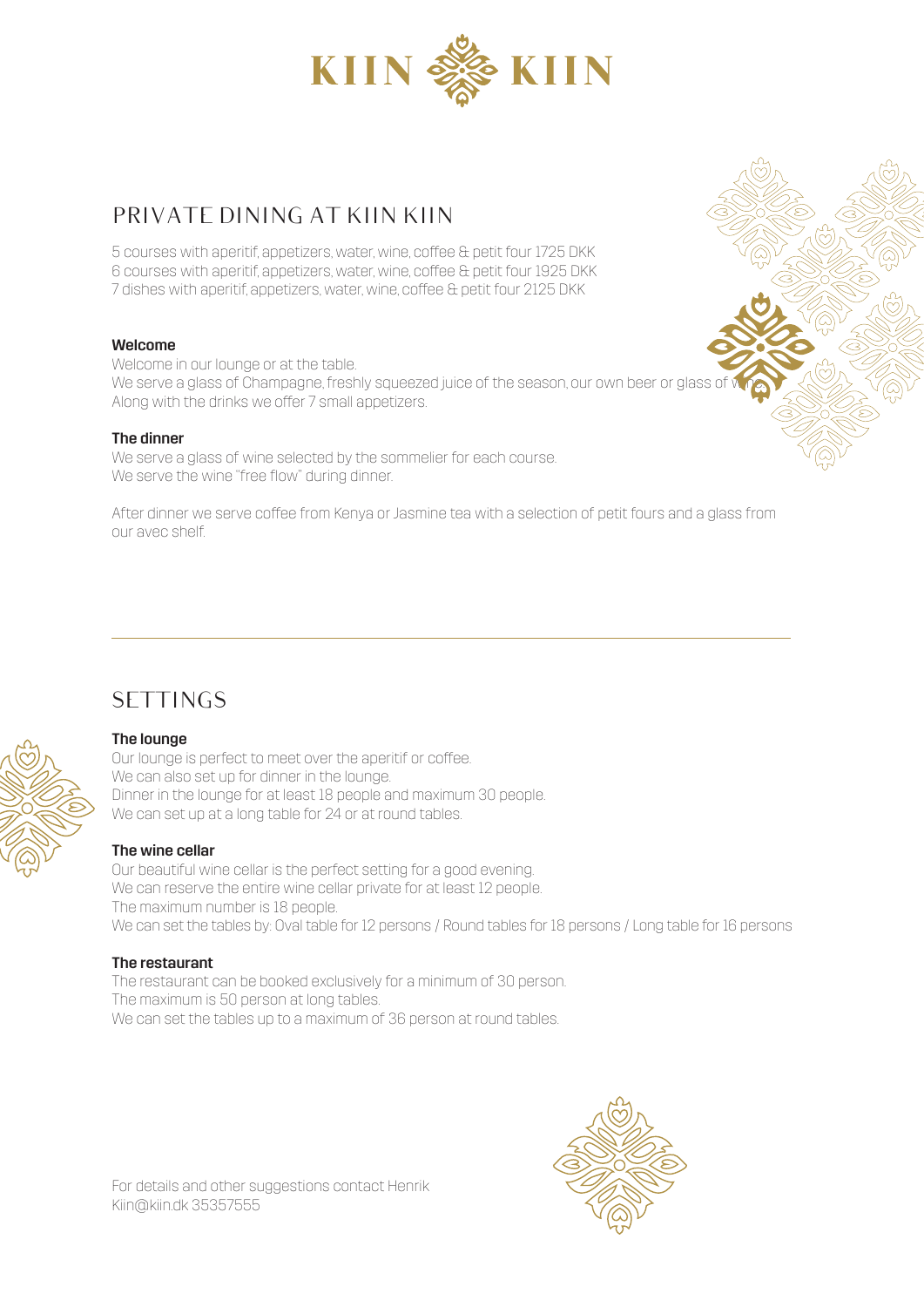

## PRIVATE DINING AT KIIN KIIN

5 courses with aperitif, appetizers, water, wine, coffee & petit four 1725 DKK 6 courses with aperitif, appetizers, water, wine, coffee & petit four 1925 DKK 7 dishes with aperitif, appetizers, water, wine, coffee & petit four 2125 DKK

#### Welcome

Welcome in our lounge or at the table. We serve a glass of Champagne, freshly squeezed juice of the season, our own beer or glass of Along with the drinks we offer 7 small appetizers.

#### The dinner

We serve a glass of wine selected by the sommelier for each course. We serve the wine "free flow" during dinner.

After dinner we serve coffee from Kenya or Jasmine tea with a selection of petit fours and a glass from our avec shelf.

# **SETTINGS**

#### The lounge

Our lounge is perfect to meet over the aperitif or coffee. We can also set up for dinner in the lounge. Dinner in the lounge for at least 18 people and maximum 30 people. We can set up at a long table for 24 or at round tables.

#### The wine cellar

Our beautiful wine cellar is the perfect setting for a good evening. We can reserve the entire wine cellar private for at least 12 people. The maximum number is 18 people. We can set the tables by: Oval table for 12 persons / Round tables for 18 persons / Long table for 16 persons

#### The restaurant

The restaurant can be booked exclusively for a minimum of 30 person. The maximum is 50 person at long tables. We can set the tables up to a maximum of 36 person at round tables.



For details and other suggestions contact Henrik Kiin@kiin.dk 35357555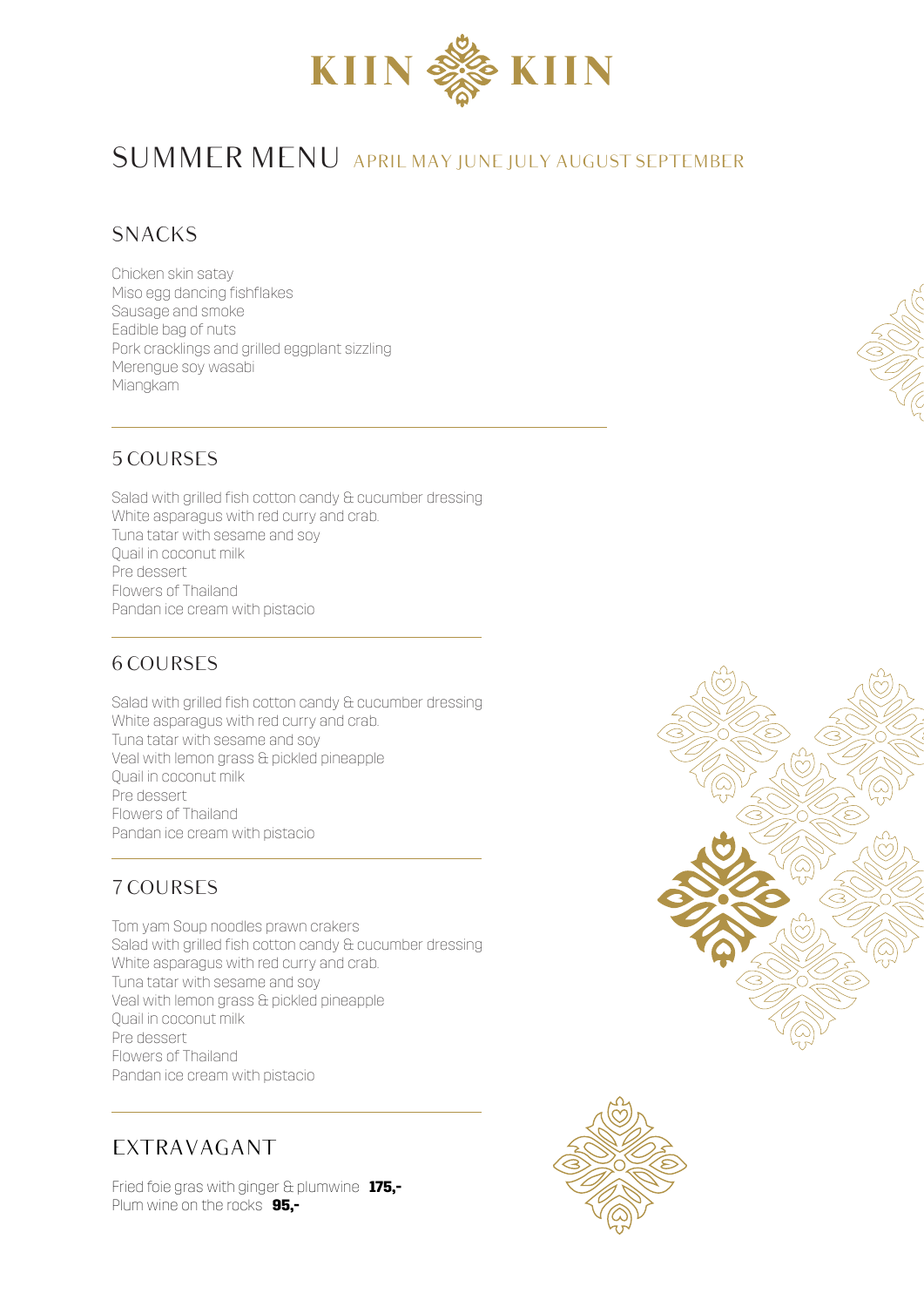

# SUMMER MENU APRIL MAY JUNE JULY AUGUST SEPTEMBER

## SNACKS

Chicken skin satay Miso egg dancing fishflakes Sausage and smoke Eadible bag of nuts Pork cracklings and grilled eggplant sizzling Merengue soy wasabi Miangkam

## 5 COURSES

Salad with grilled fish cotton candy & cucumber dressing White asparagus with red curry and crab. Tuna tatar with sesame and soy Quail in coconut milk Pre dessert Flowers of Thailand Pandan ice cream with pistacio

#### 6 COURSES

Salad with grilled fish cotton candy & cucumber dressing White asparagus with red curry and crab. Tuna tatar with sesame and soy Veal with lemon grass & pickled pineapple Quail in coconut milk Pre dessert Flowers of Thailand Pandan ice cream with pistacio

## 7 COURSES

Tom yam Soup noodles prawn crakers Salad with grilled fish cotton candy & cucumber dressing White asparagus with red curry and crab. Tuna tatar with sesame and soy Veal with lemon grass & pickled pineapple Quail in coconut milk Pre dessert Flowers of Thailand Pandan ice cream with pistacio

# EXTRAVAGANT

Fried foie gras with ginger & plumwine **175,-** Plum wine on the rocks **95,-**